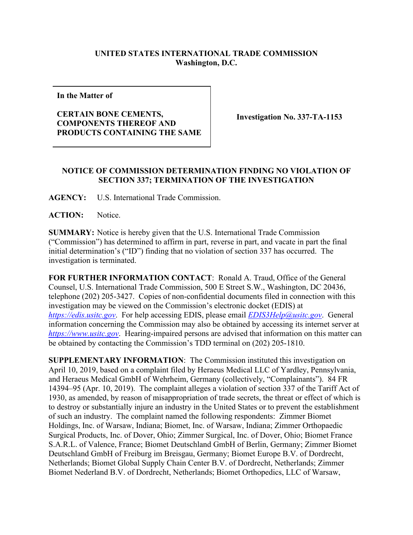## **UNITED STATES INTERNATIONAL TRADE COMMISSION Washington, D.C.**

**In the Matter of**

## **CERTAIN BONE CEMENTS, COMPONENTS THEREOF AND PRODUCTS CONTAINING THE SAME**

**Investigation No. 337-TA-1153**

## **NOTICE OF COMMISSION DETERMINATION FINDING NO VIOLATION OF SECTION 337; TERMINATION OF THE INVESTIGATION**

**AGENCY:** U.S. International Trade Commission.

ACTION: Notice.

**SUMMARY:** Notice is hereby given that the U.S. International Trade Commission ("Commission") has determined to affirm in part, reverse in part, and vacate in part the final initial determination's ("ID") finding that no violation of section 337 has occurred. The investigation is terminated.

**FOR FURTHER INFORMATION CONTACT**: Ronald A. Traud, Office of the General Counsel, U.S. International Trade Commission, 500 E Street S.W., Washington, DC 20436, telephone (202) 205-3427. Copies of non-confidential documents filed in connection with this investigation may be viewed on the Commission's electronic docket (EDIS) at *[https://edis.usitc.gov](https://edis.usitc.gov/)*. For help accessing EDIS, please email *EDIS3Help@usitc.gov*. General information concerning the Commission may also be obtained by accessing its internet server at *[https://www.usitc.gov](https://www.usitc.gov/)*. Hearing-impaired persons are advised that information on this matter can be obtained by contacting the Commission's TDD terminal on (202) 205-1810.

**SUPPLEMENTARY INFORMATION**: The Commission instituted this investigation on April 10, 2019, based on a complaint filed by Heraeus Medical LLC of Yardley, Pennsylvania, and Heraeus Medical GmbH of Wehrheim, Germany (collectively, "Complainants"). 84 FR 14394–95 (Apr. 10, 2019). The complaint alleges a violation of section 337 of the Tariff Act of 1930, as amended, by reason of misappropriation of trade secrets, the threat or effect of which is to destroy or substantially injure an industry in the United States or to prevent the establishment of such an industry. The complaint named the following respondents: Zimmer Biomet Holdings, Inc. of Warsaw, Indiana; Biomet, Inc. of Warsaw, Indiana; Zimmer Orthopaedic Surgical Products, Inc. of Dover, Ohio; Zimmer Surgical, Inc. of Dover, Ohio; Biomet France S.A.R.L. of Valence, France; Biomet Deutschland GmbH of Berlin, Germany; Zimmer Biomet Deutschland GmbH of Freiburg im Breisgau, Germany; Biomet Europe B.V. of Dordrecht, Netherlands; Biomet Global Supply Chain Center B.V. of Dordrecht, Netherlands; Zimmer Biomet Nederland B.V. of Dordrecht, Netherlands; Biomet Orthopedics, LLC of Warsaw,